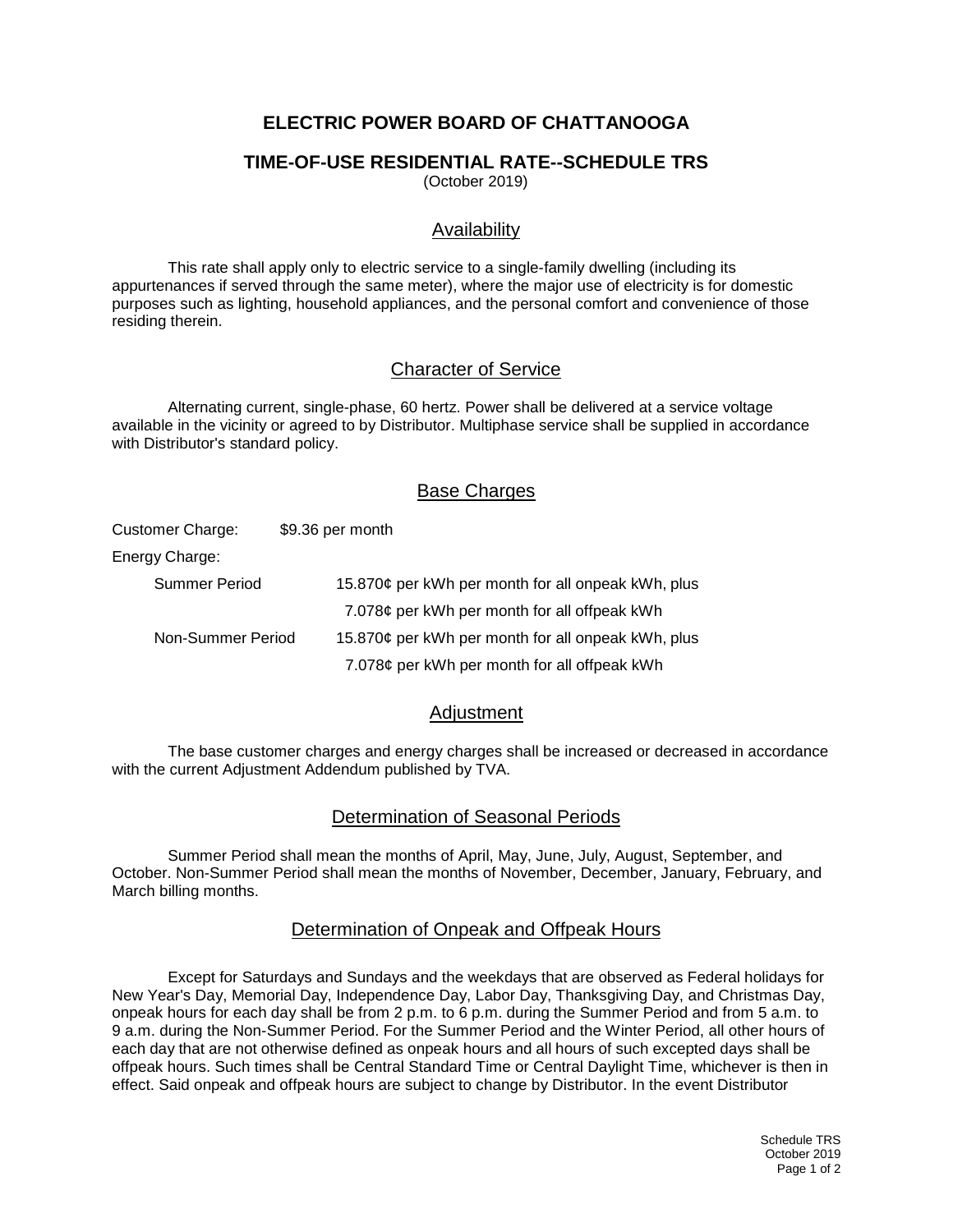# **ELECTRIC POWER BOARD OF CHATTANOOGA**

#### **TIME-OF-USE RESIDENTIAL RATE--SCHEDULE TRS**

(October 2019)

### Availability

This rate shall apply only to electric service to a single-family dwelling (including its appurtenances if served through the same meter), where the major use of electricity is for domestic purposes such as lighting, household appliances, and the personal comfort and convenience of those residing therein.

#### Character of Service

Alternating current, single-phase, 60 hertz. Power shall be delivered at a service voltage available in the vicinity or agreed to by Distributor. Multiphase service shall be supplied in accordance with Distributor's standard policy.

#### Base Charges

| Customer Charge:  | \$9.36 per month                                   |
|-------------------|----------------------------------------------------|
| Energy Charge:    |                                                    |
| Summer Period     | 15.870¢ per kWh per month for all onpeak kWh, plus |
|                   | 7.078¢ per kWh per month for all offpeak kWh       |
| Non-Summer Period | 15.870¢ per kWh per month for all onpeak kWh, plus |
|                   | 7.078¢ per kWh per month for all offpeak kWh       |

#### Adjustment

The base customer charges and energy charges shall be increased or decreased in accordance with the current Adjustment Addendum published by TVA.

#### Determination of Seasonal Periods

Summer Period shall mean the months of April, May, June, July, August, September, and October. Non-Summer Period shall mean the months of November, December, January, February, and March billing months.

#### Determination of Onpeak and Offpeak Hours

Except for Saturdays and Sundays and the weekdays that are observed as Federal holidays for New Year's Day, Memorial Day, Independence Day, Labor Day, Thanksgiving Day, and Christmas Day, onpeak hours for each day shall be from 2 p.m. to 6 p.m. during the Summer Period and from 5 a.m. to 9 a.m. during the Non-Summer Period. For the Summer Period and the Winter Period, all other hours of each day that are not otherwise defined as onpeak hours and all hours of such excepted days shall be offpeak hours. Such times shall be Central Standard Time or Central Daylight Time, whichever is then in effect. Said onpeak and offpeak hours are subject to change by Distributor. In the event Distributor